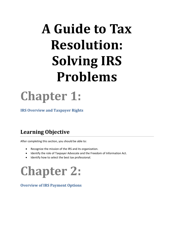# **A Guide to Tax Resolution: Solving IRS Problems**

**Chapter 1:** 

**IRS Overview and Taxpayer Rights**

## **Learning Objective**

After completing this section, you should be able to:

- Recognize the mission of the IRS and its organization.
- Identify the role of Taxpayer Advocate and the Freedom of Information Act.
- Identify how to select the best tax professional.

## **Chapter 2:**

#### **Overview of IRS Payment Options**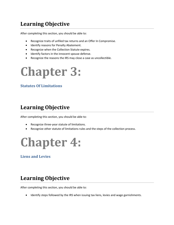### **Learning Objective**

After completing this section, you should be able to:

- Recognize traits of unfiled tax returns and an Offer In Compromise.
- Identify reasons for Penalty Abatement.
- Recognize when the Collection Statute expires.
- $\bullet$  Identify factors in the innocent spouse defense.
- Recognize the reasons the IRS may close a case as uncollectible.



#### **Statutes Of Limitations**

#### **Learning Objective**

After completing this section, you should be able to:

- Recognize three-year statute of limitations.
- Recognize other statute of limitations rules and the steps of the collection process.



**Liens and Levies**

### **Learning Objective**

After completing this section, you should be able to:

Identify steps followed by the IRS when issuing tax liens, levies and wage garnishments.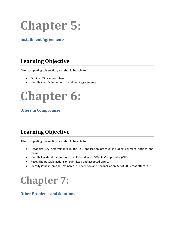## **Chapter 5:**

#### **Installment Agreements**

### **Learning Objective**

After completing this section, you should be able to:

- Outline IRS payment plans.
- Identify specific issues with installment agreements.

## **Chapter 6:**

#### **Offers in Compromise**

## **Learning Objective**

After completing this section, you should be able to:

- Recognize key determinants in the OIC application process, including payment options and terms.
- Identify key details about how the IRS handles an Offer In Compromise (OIC).
- Recognize possible actions on submitted and accepted offers.
- Identify issues from the Tax Increase Prevention and Reconciliation Act of 2005 that affect OICs.

## **Chapter 7:**

#### **Other Problems and Solutions**